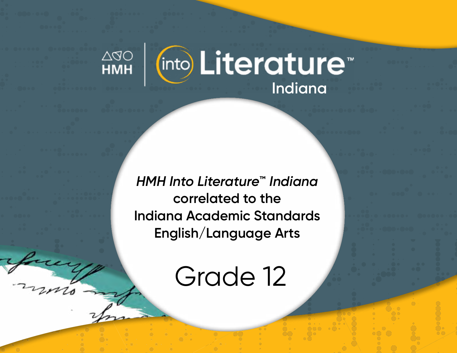

*HMH Into Literature***™** *Indiana* **correlated to the Indiana Academic Standards English/Language Arts** 

Grade 12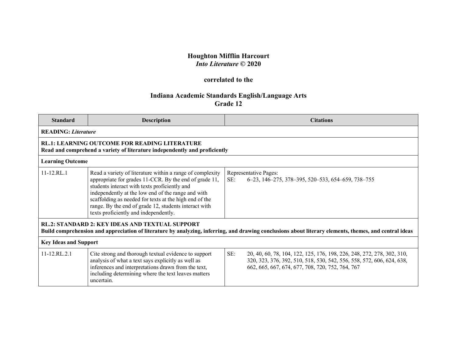## **Houghton Mifflin Harcourt** *Into Literature* **© 2020**

## **correlated to the**

## **Indiana Academic Standards English/Language Arts Grade 12**

| <b>Standard</b>                                                                                                                                                                                                  | <b>Description</b>                                                                                                                                                                                                                                                                                                                                                                     |     | <b>Citations</b>                                                                                                                                                                                    |  |
|------------------------------------------------------------------------------------------------------------------------------------------------------------------------------------------------------------------|----------------------------------------------------------------------------------------------------------------------------------------------------------------------------------------------------------------------------------------------------------------------------------------------------------------------------------------------------------------------------------------|-----|-----------------------------------------------------------------------------------------------------------------------------------------------------------------------------------------------------|--|
| <b>READING: Literature</b>                                                                                                                                                                                       |                                                                                                                                                                                                                                                                                                                                                                                        |     |                                                                                                                                                                                                     |  |
| <b>RL.1: LEARNING OUTCOME FOR READING LITERATURE</b><br>Read and comprehend a variety of literature independently and proficiently                                                                               |                                                                                                                                                                                                                                                                                                                                                                                        |     |                                                                                                                                                                                                     |  |
|                                                                                                                                                                                                                  | <b>Learning Outcome</b>                                                                                                                                                                                                                                                                                                                                                                |     |                                                                                                                                                                                                     |  |
| 11-12.RL.1                                                                                                                                                                                                       | Read a variety of literature within a range of complexity<br>appropriate for grades 11-CCR. By the end of grade 11,<br>students interact with texts proficiently and<br>independently at the low end of the range and with<br>scaffolding as needed for texts at the high end of the<br>range. By the end of grade 12, students interact with<br>texts proficiently and independently. | SE: | Representative Pages:<br>6–23, 146–275, 378–395, 520–533, 654–659, 738–755                                                                                                                          |  |
| <b>RL.2: STANDARD 2: KEY IDEAS AND TEXTUAL SUPPORT</b><br>Build comprehension and appreciation of literature by analyzing, inferring, and drawing conclusions about literary elements, themes, and central ideas |                                                                                                                                                                                                                                                                                                                                                                                        |     |                                                                                                                                                                                                     |  |
| <b>Key Ideas and Support</b>                                                                                                                                                                                     |                                                                                                                                                                                                                                                                                                                                                                                        |     |                                                                                                                                                                                                     |  |
| 11-12.RL.2.1                                                                                                                                                                                                     | Cite strong and thorough textual evidence to support<br>analysis of what a text says explicitly as well as<br>inferences and interpretations drawn from the text,<br>including determining where the text leaves matters<br>uncertain.                                                                                                                                                 | SE: | 20, 40, 60, 78, 104, 122, 125, 176, 198, 226, 248, 272, 278, 302, 310,<br>320, 323, 376, 392, 510, 518, 530, 542, 556, 558, 572, 606, 624, 638,<br>662, 665, 667, 674, 677, 708, 720, 752, 764, 767 |  |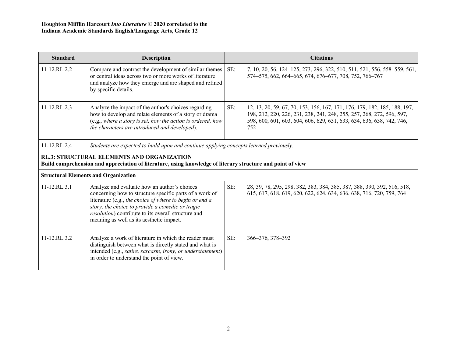| <b>Standard</b>                                                                                                                                                  | <b>Description</b>                                                                                                                                                                                                                                                                                                                | <b>Citations</b>                                                                                                                                                                                                                          |  |
|------------------------------------------------------------------------------------------------------------------------------------------------------------------|-----------------------------------------------------------------------------------------------------------------------------------------------------------------------------------------------------------------------------------------------------------------------------------------------------------------------------------|-------------------------------------------------------------------------------------------------------------------------------------------------------------------------------------------------------------------------------------------|--|
| 11-12.RL.2.2                                                                                                                                                     | Compare and contrast the development of similar themes<br>or central ideas across two or more works of literature<br>and analyze how they emerge and are shaped and refined<br>by specific details.                                                                                                                               | SE:<br>7, 10, 20, 56, 124–125, 273, 296, 322, 510, 511, 521, 556, 558–559, 561,<br>574-575, 662, 664-665, 674, 676-677, 708, 752, 766-767                                                                                                 |  |
| $11 - 12$ .RL $2.3$                                                                                                                                              | Analyze the impact of the author's choices regarding<br>how to develop and relate elements of a story or drama<br>(e.g., where a story is set, how the action is ordered, how<br>the characters are introduced and developed).                                                                                                    | SE:<br>12, 13, 20, 59, 67, 70, 153, 156, 167, 171, 176, 179, 182, 185, 188, 197,<br>198, 212, 220, 226, 231, 238, 241, 248, 255, 257, 268, 272, 596, 597,<br>598, 600, 601, 603, 604, 606, 629, 631, 633, 634, 636, 638, 742, 746,<br>752 |  |
| 11-12.RL.2.4                                                                                                                                                     | Students are expected to build upon and continue applying concepts learned previously.                                                                                                                                                                                                                                            |                                                                                                                                                                                                                                           |  |
| <b>RL.3: STRUCTURAL ELEMENTS AND ORGANIZATION</b><br>Build comprehension and appreciation of literature, using knowledge of literary structure and point of view |                                                                                                                                                                                                                                                                                                                                   |                                                                                                                                                                                                                                           |  |
| <b>Structural Elements and Organization</b>                                                                                                                      |                                                                                                                                                                                                                                                                                                                                   |                                                                                                                                                                                                                                           |  |
| $11 - 12$ .RL.3.1                                                                                                                                                | Analyze and evaluate how an author's choices<br>concerning how to structure specific parts of a work of<br>literature (e.g., the choice of where to begin or end a<br>story, the choice to provide a comedic or tragic<br><i>resolution</i> ) contribute to its overall structure and<br>meaning as well as its aesthetic impact. | SE:<br>28, 39, 78, 295, 298, 382, 383, 384, 385, 387, 388, 390, 392, 516, 518,<br>615, 617, 618, 619, 620, 622, 624, 634, 636, 638, 716, 720, 759, 764                                                                                    |  |
| 11-12.RL.3.2                                                                                                                                                     | Analyze a work of literature in which the reader must<br>distinguish between what is directly stated and what is<br>intended (e.g., satire, sarcasm, irony, or understatement)<br>in order to understand the point of view.                                                                                                       | SE:<br>366-376, 378-392                                                                                                                                                                                                                   |  |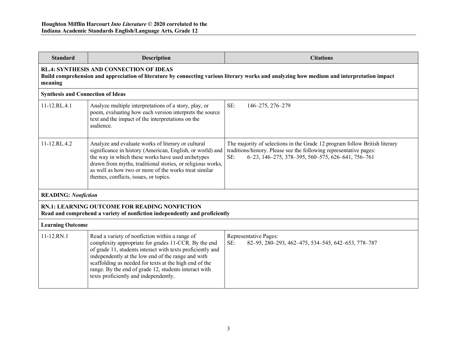| <b>Standard</b>                                                                                                                                                                                         | <b>Description</b>                                                                                                                                                                                                                                                                                                                                                                     | <b>Citations</b>                                                                                                                                                                                             |  |  |
|---------------------------------------------------------------------------------------------------------------------------------------------------------------------------------------------------------|----------------------------------------------------------------------------------------------------------------------------------------------------------------------------------------------------------------------------------------------------------------------------------------------------------------------------------------------------------------------------------------|--------------------------------------------------------------------------------------------------------------------------------------------------------------------------------------------------------------|--|--|
| <b>RL.4: SYNTHESIS AND CONNECTION OF IDEAS</b><br>Build comprehension and appreciation of literature by connecting various literary works and analyzing how medium and interpretation impact<br>meaning |                                                                                                                                                                                                                                                                                                                                                                                        |                                                                                                                                                                                                              |  |  |
| <b>Synthesis and Connection of Ideas</b>                                                                                                                                                                |                                                                                                                                                                                                                                                                                                                                                                                        |                                                                                                                                                                                                              |  |  |
| 11-12.RL.4.1                                                                                                                                                                                            | Analyze multiple interpretations of a story, play, or<br>poem, evaluating how each version interprets the source<br>text and the impact of the interpretations on the<br>audience.                                                                                                                                                                                                     | SE:<br>146-275, 276-279                                                                                                                                                                                      |  |  |
| 11-12.RL.4.2                                                                                                                                                                                            | Analyze and evaluate works of literary or cultural<br>significance in history (American, English, or world) and<br>the way in which these works have used archetypes<br>drawn from myths, traditional stories, or religious works,<br>as well as how two or more of the works treat similar<br>themes, conflicts, issues, or topics.                                                   | The majority of selections in the Grade 12 program follow British literary<br>traditions/history. Please see the following representative pages:<br>6-23, 146-275, 378-395, 560-575, 626-641, 756-761<br>SE: |  |  |
| <b>READING: Nonfiction</b>                                                                                                                                                                              |                                                                                                                                                                                                                                                                                                                                                                                        |                                                                                                                                                                                                              |  |  |
| <b>RN.1: LEARNING OUTCOME FOR READING NONFICTION</b><br>Read and comprehend a variety of nonfiction independently and proficiently                                                                      |                                                                                                                                                                                                                                                                                                                                                                                        |                                                                                                                                                                                                              |  |  |
| <b>Learning Outcome</b>                                                                                                                                                                                 |                                                                                                                                                                                                                                                                                                                                                                                        |                                                                                                                                                                                                              |  |  |
| 11-12.RN.1                                                                                                                                                                                              | Read a variety of nonfiction within a range of<br>complexity appropriate for grades 11-CCR. By the end<br>of grade 11, students interact with texts proficiently and<br>independently at the low end of the range and with<br>scaffolding as needed for texts at the high end of the<br>range. By the end of grade 12, students interact with<br>texts proficiently and independently. | Representative Pages:<br>SE:<br>82-95, 280-293, 462-475, 534-545, 642-653, 778-787                                                                                                                           |  |  |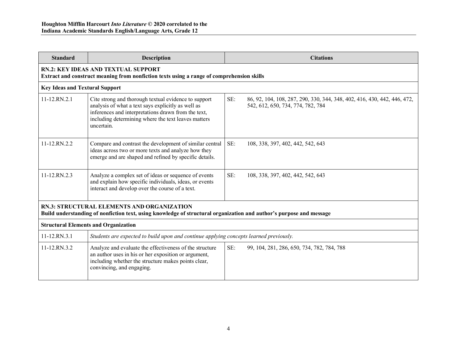| <b>Standard</b>                                                                                                                                                   | <b>Description</b>                                                                                                                                                                                                                     | <b>Citations</b>                                                                                                     |  |  |
|-------------------------------------------------------------------------------------------------------------------------------------------------------------------|----------------------------------------------------------------------------------------------------------------------------------------------------------------------------------------------------------------------------------------|----------------------------------------------------------------------------------------------------------------------|--|--|
| <b>RN.2: KEY IDEAS AND TEXTUAL SUPPORT</b><br>Extract and construct meaning from nonfiction texts using a range of comprehension skills                           |                                                                                                                                                                                                                                        |                                                                                                                      |  |  |
| <b>Key Ideas and Textural Support</b>                                                                                                                             |                                                                                                                                                                                                                                        |                                                                                                                      |  |  |
| 11-12.RN.2.1                                                                                                                                                      | Cite strong and thorough textual evidence to support<br>analysis of what a text says explicitly as well as<br>inferences and interpretations drawn from the text,<br>including determining where the text leaves matters<br>uncertain. | SE:<br>86, 92, 104, 108, 287, 290, 330, 344, 348, 402, 416, 430, 442, 446, 472,<br>542, 612, 650, 734, 774, 782, 784 |  |  |
| 11-12.RN.2.2                                                                                                                                                      | Compare and contrast the development of similar central<br>ideas across two or more texts and analyze how they<br>emerge and are shaped and refined by specific details.                                                               | SE:<br>108, 338, 397, 402, 442, 542, 643                                                                             |  |  |
| 11-12.RN.2.3                                                                                                                                                      | Analyze a complex set of ideas or sequence of events<br>and explain how specific individuals, ideas, or events<br>interact and develop over the course of a text.                                                                      | SE:<br>108, 338, 397, 402, 442, 542, 643                                                                             |  |  |
| RN.3: STRUCTURAL ELEMENTS AND ORGANIZATION<br>Build understanding of nonfiction text, using knowledge of structural organization and author's purpose and message |                                                                                                                                                                                                                                        |                                                                                                                      |  |  |
| <b>Structural Elements and Organization</b>                                                                                                                       |                                                                                                                                                                                                                                        |                                                                                                                      |  |  |
| 11-12.RN.3.1                                                                                                                                                      | Students are expected to build upon and continue applying concepts learned previously.                                                                                                                                                 |                                                                                                                      |  |  |
| $11 - 12$ .RN.3.2                                                                                                                                                 | Analyze and evaluate the effectiveness of the structure<br>an author uses in his or her exposition or argument,<br>including whether the structure makes points clear,<br>convincing, and engaging.                                    | SE:<br>99, 104, 281, 286, 650, 734, 782, 784, 788                                                                    |  |  |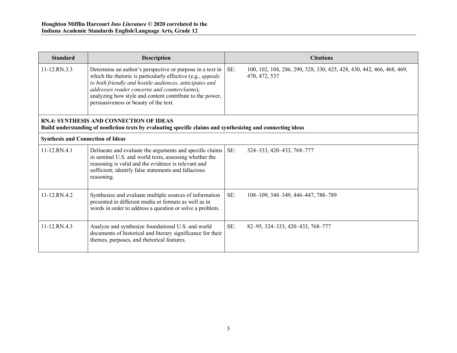| <b>Standard</b>                                                                                                                                               | <b>Description</b>                                                                                                                                                                                                                                                                                                                        | <b>Citations</b>                                                                              |  |
|---------------------------------------------------------------------------------------------------------------------------------------------------------------|-------------------------------------------------------------------------------------------------------------------------------------------------------------------------------------------------------------------------------------------------------------------------------------------------------------------------------------------|-----------------------------------------------------------------------------------------------|--|
| 11-12.RN.3.3                                                                                                                                                  | Determine an author's perspective or purpose in a text in<br>which the rhetoric is particularly effective (e.g., appeals<br>to both friendly and hostile audiences, anticipates and<br>addresses reader concerns and counterclaims),<br>analyzing how style and content contribute to the power,<br>persuasiveness or beauty of the text. | SE:<br>100, 102, 104, 286, 290, 328, 330, 425, 428, 430, 442, 466, 468, 469,<br>470, 472, 537 |  |
| <b>RN.4: SYNTHESIS AND CONNECTION OF IDEAS</b><br>Build understanding of nonfiction texts by evaluating specific claims and synthesizing and connecting ideas |                                                                                                                                                                                                                                                                                                                                           |                                                                                               |  |
| <b>Synthesis and Connection of Ideas</b>                                                                                                                      |                                                                                                                                                                                                                                                                                                                                           |                                                                                               |  |
| $11-12$ , RN.4.1                                                                                                                                              | Delineate and evaluate the arguments and specific claims<br>in seminal U.S. and world texts, assessing whether the<br>reasoning is valid and the evidence is relevant and<br>sufficient; identify false statements and fallacious<br>reasoning.                                                                                           | SE:<br>324-333, 420-433, 768-777                                                              |  |
| 11-12.RN.4.2                                                                                                                                                  | Synthesize and evaluate multiple sources of information<br>presented in different media or formats as well as in<br>words in order to address a question or solve a problem.                                                                                                                                                              | SE:<br>108-109, 348-349, 446-447, 788-789                                                     |  |
| $11 - 12 R N 4.3$                                                                                                                                             | Analyze and synthesize foundational U.S. and world<br>documents of historical and literary significance for their<br>themes, purposes, and rhetorical features.                                                                                                                                                                           | SE:<br>82-95, 324-333, 420-433, 768-777                                                       |  |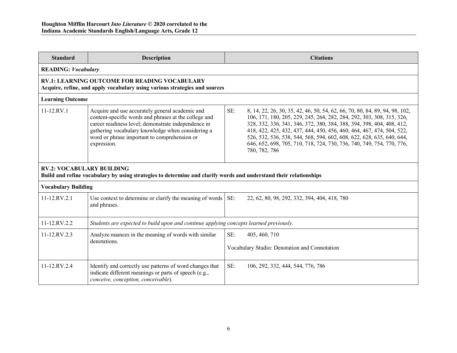| <b>Standard</b>                                                                                                                                       | <b>Description</b>                                                                                                                                                                                                                                                                  | <b>Citations</b>                                                                                                                                                                                                                                                                                                                                                                                                                                                                 |  |
|-------------------------------------------------------------------------------------------------------------------------------------------------------|-------------------------------------------------------------------------------------------------------------------------------------------------------------------------------------------------------------------------------------------------------------------------------------|----------------------------------------------------------------------------------------------------------------------------------------------------------------------------------------------------------------------------------------------------------------------------------------------------------------------------------------------------------------------------------------------------------------------------------------------------------------------------------|--|
| <b>READING: Vocabulary</b>                                                                                                                            |                                                                                                                                                                                                                                                                                     |                                                                                                                                                                                                                                                                                                                                                                                                                                                                                  |  |
|                                                                                                                                                       | <b>RV.1: LEARNING OUTCOME FOR READING VOCABULARY</b><br>Acquire, refine, and apply vocabulary using various strategies and sources                                                                                                                                                  |                                                                                                                                                                                                                                                                                                                                                                                                                                                                                  |  |
|                                                                                                                                                       | <b>Learning Outcome</b>                                                                                                                                                                                                                                                             |                                                                                                                                                                                                                                                                                                                                                                                                                                                                                  |  |
| 11-12.RV.1                                                                                                                                            | Acquire and use accurately general academic and<br>content-specific words and phrases at the college and<br>career readiness level; demonstrate independence in<br>gathering vocabulary knowledge when considering a<br>word or phrase important to comprehension or<br>expression. | SE:<br>8, 14, 22, 26, 30, 35, 42, 46, 50, 54, 62, 66, 70, 80, 84, 89, 94, 98, 102,<br>106, 171, 180, 205, 229, 245, 264, 282, 284, 292, 303, 308, 315, 326,<br>328, 332, 336, 341, 346, 372, 380, 384, 388, 394, 398, 404, 408, 412,<br>418, 422, 425, 432, 437, 444, 450, 456, 460, 464, 467, 474, 504, 522,<br>526, 532, 536, 538, 544, 568, 594, 602, 608, 622, 628, 635, 640, 644,<br>646, 652, 698, 705, 710, 718, 724, 730, 736, 740, 749, 754, 770, 776,<br>780, 782, 786 |  |
| <b>RV.2: VOCABULARY BUILDING</b><br>Build and refine vocabulary by using strategies to determine and clarify words and understand their relationships |                                                                                                                                                                                                                                                                                     |                                                                                                                                                                                                                                                                                                                                                                                                                                                                                  |  |
| <b>Vocabulary Building</b>                                                                                                                            |                                                                                                                                                                                                                                                                                     |                                                                                                                                                                                                                                                                                                                                                                                                                                                                                  |  |
| $11 - 12 RV.2.1$                                                                                                                                      | Use context to determine or clarify the meaning of words<br>and phrases.                                                                                                                                                                                                            | SE:<br>22, 62, 80, 98, 292, 332, 394, 404, 418, 780                                                                                                                                                                                                                                                                                                                                                                                                                              |  |
| 11-12.RV.2.2                                                                                                                                          | Students are expected to build upon and continue applying concepts learned previously.                                                                                                                                                                                              |                                                                                                                                                                                                                                                                                                                                                                                                                                                                                  |  |
| 11-12.RV.2.3                                                                                                                                          | Analyze nuances in the meaning of words with similar<br>denotations.                                                                                                                                                                                                                | SE:<br>405, 460, 710<br>Vocabulary Studio: Denotation and Connotation                                                                                                                                                                                                                                                                                                                                                                                                            |  |
| 11-12.RV.2.4                                                                                                                                          | Identify and correctly use patterns of word changes that<br>indicate different meanings or parts of speech (e.g.,<br>conceive, conception, conceivable).                                                                                                                            | SE:<br>106, 292, 332, 444, 544, 776, 786                                                                                                                                                                                                                                                                                                                                                                                                                                         |  |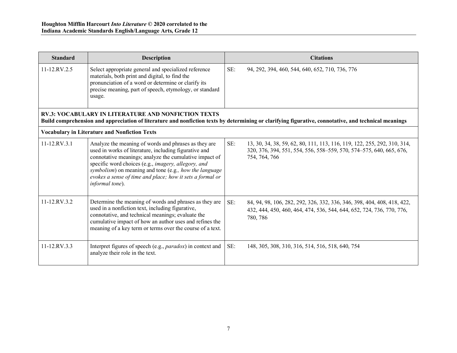| <b>Standard</b>    | <b>Description</b>                                                                                                                                                                                                                                                                                                                                                       |     | <b>Citations</b>                                                                                                                                                 |
|--------------------|--------------------------------------------------------------------------------------------------------------------------------------------------------------------------------------------------------------------------------------------------------------------------------------------------------------------------------------------------------------------------|-----|------------------------------------------------------------------------------------------------------------------------------------------------------------------|
| $11 - 12$ RV $2.5$ | Select appropriate general and specialized reference<br>materials, both print and digital, to find the<br>pronunciation of a word or determine or clarify its<br>precise meaning, part of speech, etymology, or standard<br>usage.                                                                                                                                       | SE: | 94, 292, 394, 460, 544, 640, 652, 710, 736, 776                                                                                                                  |
|                    | <b>RV.3: VOCABULARY IN LITERATURE AND NONFICTION TEXTS</b>                                                                                                                                                                                                                                                                                                               |     | Build comprehension and appreciation of literature and nonfiction texts by determining or clarifying figurative, connotative, and technical meanings             |
|                    | <b>Vocabulary in Literature and Nonfiction Texts</b>                                                                                                                                                                                                                                                                                                                     |     |                                                                                                                                                                  |
| 11-12.RV.3.1       | Analyze the meaning of words and phrases as they are<br>used in works of literature, including figurative and<br>connotative meanings; analyze the cumulative impact of<br>specific word choices (e.g., imagery, allegory, and<br>symbolism) on meaning and tone (e.g., how the language<br>evokes a sense of time and place; how it sets a formal or<br>informal tone). | SE: | 13, 30, 34, 38, 59, 62, 80, 111, 113, 116, 119, 122, 255, 292, 310, 314,<br>320, 376, 394, 551, 554, 556, 558–559, 570, 574–575, 640, 665, 676,<br>754, 764, 766 |
| 11-12.RV.3.2       | Determine the meaning of words and phrases as they are<br>used in a nonfiction text, including figurative,<br>connotative, and technical meanings; evaluate the<br>cumulative impact of how an author uses and refines the<br>meaning of a key term or terms over the course of a text.                                                                                  | SE: | 84, 94, 98, 106, 282, 292, 326, 332, 336, 346, 398, 404, 408, 418, 422,<br>432, 444, 450, 460, 464, 474, 536, 544, 644, 652, 724, 736, 770, 776,<br>780, 786     |
| 11-12.RV.3.3       | Interpret figures of speech (e.g., <i>paradox</i> ) in context and<br>analyze their role in the text.                                                                                                                                                                                                                                                                    | SE: | 148, 305, 308, 310, 316, 514, 516, 518, 640, 754                                                                                                                 |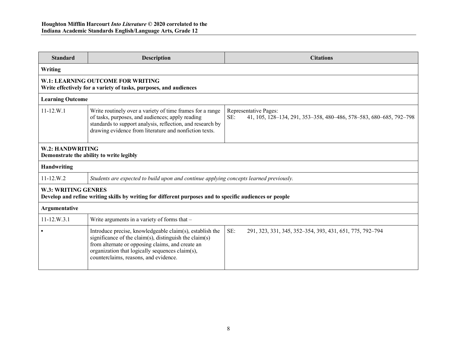| <b>Standard</b>                                                                                                                       | <b>Description</b>                                                                                                                                                                                                                                                 | <b>Citations</b>                                                                                   |  |
|---------------------------------------------------------------------------------------------------------------------------------------|--------------------------------------------------------------------------------------------------------------------------------------------------------------------------------------------------------------------------------------------------------------------|----------------------------------------------------------------------------------------------------|--|
| Writing                                                                                                                               |                                                                                                                                                                                                                                                                    |                                                                                                    |  |
|                                                                                                                                       | W.1: LEARNING OUTCOME FOR WRITING<br>Write effectively for a variety of tasks, purposes, and audiences                                                                                                                                                             |                                                                                                    |  |
| <b>Learning Outcome</b>                                                                                                               |                                                                                                                                                                                                                                                                    |                                                                                                    |  |
| $11 - 12.W.1$                                                                                                                         | Write routinely over a variety of time frames for a range<br>of tasks, purposes, and audiences; apply reading<br>standards to support analysis, reflection, and research by<br>drawing evidence from literature and nonfiction texts.                              | Representative Pages:<br>SE:<br>41, 105, 128-134, 291, 353-358, 480-486, 578-583, 680-685, 792-798 |  |
| W.2: HANDWRITING<br>Demonstrate the ability to write legibly                                                                          |                                                                                                                                                                                                                                                                    |                                                                                                    |  |
| <b>Handwriting</b>                                                                                                                    |                                                                                                                                                                                                                                                                    |                                                                                                    |  |
| $11-12.W.2$                                                                                                                           | Students are expected to build upon and continue applying concepts learned previously.                                                                                                                                                                             |                                                                                                    |  |
| <b>W.3: WRITING GENRES</b><br>Develop and refine writing skills by writing for different purposes and to specific audiences or people |                                                                                                                                                                                                                                                                    |                                                                                                    |  |
| <b>Argumentative</b>                                                                                                                  |                                                                                                                                                                                                                                                                    |                                                                                                    |  |
| $11 - 12. W.3.1$                                                                                                                      | Write arguments in a variety of forms that -                                                                                                                                                                                                                       |                                                                                                    |  |
|                                                                                                                                       | Introduce precise, knowledgeable claim(s), establish the<br>significance of the claim(s), distinguish the claim(s)<br>from alternate or opposing claims, and create an<br>organization that logically sequences claim(s),<br>counterclaims, reasons, and evidence. | SE:<br>291, 323, 331, 345, 352-354, 393, 431, 651, 775, 792-794                                    |  |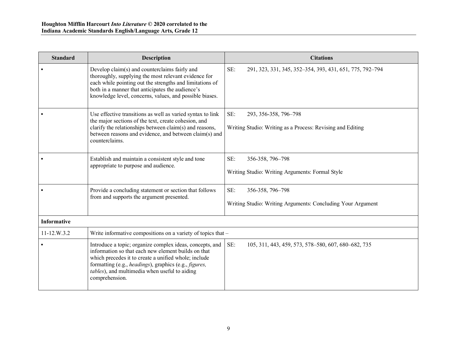| <b>Standard</b>    | <b>Description</b>                                                                                                                                                                                                                                                                                  | <b>Citations</b>                                                                           |
|--------------------|-----------------------------------------------------------------------------------------------------------------------------------------------------------------------------------------------------------------------------------------------------------------------------------------------------|--------------------------------------------------------------------------------------------|
| $\bullet$          | Develop claim(s) and counterclaims fairly and<br>thoroughly, supplying the most relevant evidence for<br>each while pointing out the strengths and limitations of<br>both in a manner that anticipates the audience's<br>knowledge level, concerns, values, and possible biases.                    | SE:<br>291, 323, 331, 345, 352-354, 393, 431, 651, 775, 792-794                            |
|                    | Use effective transitions as well as varied syntax to link<br>the major sections of the text, create cohesion, and<br>clarify the relationships between claim(s) and reasons,<br>between reasons and evidence, and between claim(s) and<br>counterclaims.                                           | SE:<br>293, 356-358, 796-798<br>Writing Studio: Writing as a Process: Revising and Editing |
|                    | Establish and maintain a consistent style and tone<br>appropriate to purpose and audience.                                                                                                                                                                                                          | SE:<br>356-358, 796-798<br>Writing Studio: Writing Arguments: Formal Style                 |
|                    | Provide a concluding statement or section that follows<br>from and supports the argument presented.                                                                                                                                                                                                 | SE:<br>356-358, 796-798<br>Writing Studio: Writing Arguments: Concluding Your Argument     |
| <b>Informative</b> |                                                                                                                                                                                                                                                                                                     |                                                                                            |
| 11-12.W.3.2        | Write informative compositions on a variety of topics that -                                                                                                                                                                                                                                        |                                                                                            |
|                    | Introduce a topic; organize complex ideas, concepts, and<br>information so that each new element builds on that<br>which precedes it to create a unified whole; include<br>formatting (e.g., headings), graphics (e.g., figures,<br>tables), and multimedia when useful to aiding<br>comprehension. | SE:<br>105, 311, 443, 459, 573, 578-580, 607, 680-682, 735                                 |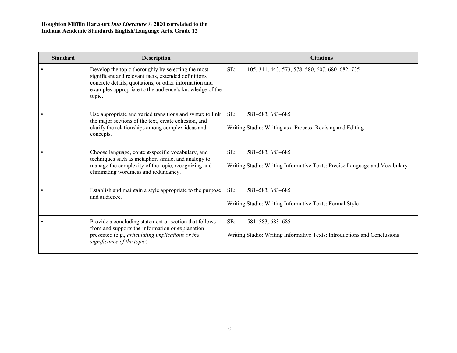| <b>Standard</b> | <b>Description</b>                                                                                                                                                                                                                         | <b>Citations</b>                                                                                      |
|-----------------|--------------------------------------------------------------------------------------------------------------------------------------------------------------------------------------------------------------------------------------------|-------------------------------------------------------------------------------------------------------|
|                 | Develop the topic thoroughly by selecting the most<br>significant and relevant facts, extended definitions,<br>concrete details, quotations, or other information and<br>examples appropriate to the audience's knowledge of the<br>topic. | SE:<br>105, 311, 443, 573, 578-580, 607, 680-682, 735                                                 |
|                 | Use appropriate and varied transitions and syntax to link<br>the major sections of the text, create cohesion, and<br>clarify the relationships among complex ideas and<br>concepts.                                                        | SE:<br>581-583, 683-685<br>Writing Studio: Writing as a Process: Revising and Editing                 |
|                 | Choose language, content-specific vocabulary, and<br>techniques such as metaphor, simile, and analogy to<br>manage the complexity of the topic, recognizing and<br>eliminating wordiness and redundancy.                                   | SE:<br>581-583, 683-685<br>Writing Studio: Writing Informative Texts: Precise Language and Vocabulary |
|                 | Establish and maintain a style appropriate to the purpose<br>and audience.                                                                                                                                                                 | SE:<br>581-583, 683-685<br>Writing Studio: Writing Informative Texts: Formal Style                    |
|                 | Provide a concluding statement or section that follows<br>from and supports the information or explanation<br>presented (e.g., articulating implications or the<br>significance of the topic).                                             | SE:<br>581-583, 683-685<br>Writing Studio: Writing Informative Texts: Introductions and Conclusions   |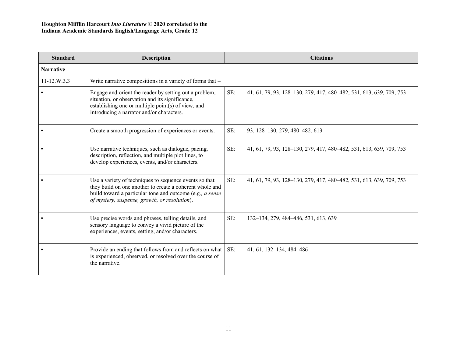| <b>Standard</b>   | <b>Description</b>                                                                                                                                                                                                               |     | <b>Citations</b>                                                    |
|-------------------|----------------------------------------------------------------------------------------------------------------------------------------------------------------------------------------------------------------------------------|-----|---------------------------------------------------------------------|
| <b>Narrative</b>  |                                                                                                                                                                                                                                  |     |                                                                     |
| $11 - 12. W. 3.3$ | Write narrative compositions in a variety of forms that -                                                                                                                                                                        |     |                                                                     |
|                   | Engage and orient the reader by setting out a problem,<br>situation, or observation and its significance,<br>establishing one or multiple point(s) of view, and<br>introducing a narrator and/or characters.                     | SE: | 41, 61, 79, 93, 128-130, 279, 417, 480-482, 531, 613, 639, 709, 753 |
|                   | Create a smooth progression of experiences or events.                                                                                                                                                                            | SE: | 93, 128-130, 279, 480-482, 613                                      |
|                   | Use narrative techniques, such as dialogue, pacing,<br>description, reflection, and multiple plot lines, to<br>develop experiences, events, and/or characters.                                                                   | SE: | 41, 61, 79, 93, 128-130, 279, 417, 480-482, 531, 613, 639, 709, 753 |
|                   | Use a variety of techniques to sequence events so that<br>they build on one another to create a coherent whole and<br>build toward a particular tone and outcome (e.g., a sense<br>of mystery, suspense, growth, or resolution). | SE: | 41, 61, 79, 93, 128–130, 279, 417, 480–482, 531, 613, 639, 709, 753 |
|                   | Use precise words and phrases, telling details, and<br>sensory language to convey a vivid picture of the<br>experiences, events, setting, and/or characters.                                                                     | SE: | 132-134, 279, 484-486, 531, 613, 639                                |
|                   | Provide an ending that follows from and reflects on what<br>is experienced, observed, or resolved over the course of<br>the narrative.                                                                                           | SE: | 41, 61, 132-134, 484-486                                            |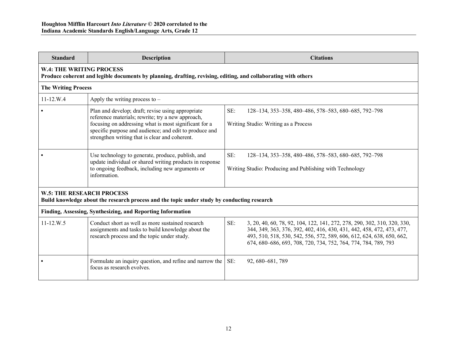| <b>Standard</b>                                                                                                                 | <b>Description</b>                                                                                                                                                                                                                                                          | <b>Citations</b>                                                                                                                                                                                                                                                                                    |  |  |
|---------------------------------------------------------------------------------------------------------------------------------|-----------------------------------------------------------------------------------------------------------------------------------------------------------------------------------------------------------------------------------------------------------------------------|-----------------------------------------------------------------------------------------------------------------------------------------------------------------------------------------------------------------------------------------------------------------------------------------------------|--|--|
|                                                                                                                                 | <b>W.4: THE WRITING PROCESS</b><br>Produce coherent and legible documents by planning, drafting, revising, editing, and collaborating with others                                                                                                                           |                                                                                                                                                                                                                                                                                                     |  |  |
| <b>The Writing Process</b>                                                                                                      |                                                                                                                                                                                                                                                                             |                                                                                                                                                                                                                                                                                                     |  |  |
| $11 - 12.W.4$                                                                                                                   | Apply the writing process to $-$                                                                                                                                                                                                                                            |                                                                                                                                                                                                                                                                                                     |  |  |
|                                                                                                                                 | Plan and develop; draft; revise using appropriate<br>reference materials; rewrite; try a new approach,<br>focusing on addressing what is most significant for a<br>specific purpose and audience; and edit to produce and<br>strengthen writing that is clear and coherent. | SE:<br>128-134, 353-358, 480-486, 578-583, 680-685, 792-798<br>Writing Studio: Writing as a Process                                                                                                                                                                                                 |  |  |
|                                                                                                                                 | Use technology to generate, produce, publish, and<br>update individual or shared writing products in response<br>to ongoing feedback, including new arguments or<br>information.                                                                                            | SE:<br>128-134, 353-358, 480-486, 578-583, 680-685, 792-798<br>Writing Studio: Producing and Publishing with Technology                                                                                                                                                                             |  |  |
| <b>W.5: THE RESEARCH PROCESS</b><br>Build knowledge about the research process and the topic under study by conducting research |                                                                                                                                                                                                                                                                             |                                                                                                                                                                                                                                                                                                     |  |  |
| Finding, Assessing, Synthesizing, and Reporting Information                                                                     |                                                                                                                                                                                                                                                                             |                                                                                                                                                                                                                                                                                                     |  |  |
| $11 - 12.W.5$                                                                                                                   | Conduct short as well as more sustained research<br>assignments and tasks to build knowledge about the<br>research process and the topic under study.                                                                                                                       | SE:<br>3, 20, 40, 60, 78, 92, 104, 122, 141, 272, 278, 290, 302, 310, 320, 330,<br>344, 349, 363, 376, 392, 402, 416, 430, 431, 442, 458, 472, 473, 477,<br>493, 510, 518, 530, 542, 556, 572, 589, 606, 612, 624, 638, 650, 662,<br>674, 680–686, 693, 708, 720, 734, 752, 764, 774, 784, 789, 793 |  |  |
|                                                                                                                                 | Formulate an inquiry question, and refine and narrow the<br>focus as research evolves.                                                                                                                                                                                      | SE:<br>92, 680-681, 789                                                                                                                                                                                                                                                                             |  |  |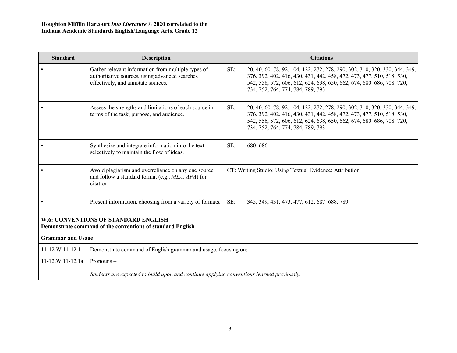| <b>Standard</b>                                                                                    | <b>Description</b>                                                                                                                         |     | <b>Citations</b>                                                                                                                                                                                                                                                 |
|----------------------------------------------------------------------------------------------------|--------------------------------------------------------------------------------------------------------------------------------------------|-----|------------------------------------------------------------------------------------------------------------------------------------------------------------------------------------------------------------------------------------------------------------------|
|                                                                                                    | Gather relevant information from multiple types of<br>authoritative sources, using advanced searches<br>effectively, and annotate sources. | SE: | 20, 40, 60, 78, 92, 104, 122, 272, 278, 290, 302, 310, 320, 330, 344, 349,<br>376, 392, 402, 416, 430, 431, 442, 458, 472, 473, 477, 510, 518, 530,<br>542, 556, 572, 606, 612, 624, 638, 650, 662, 674, 680–686, 708, 720,<br>734, 752, 764, 774, 784, 789, 793 |
|                                                                                                    | Assess the strengths and limitations of each source in<br>terms of the task, purpose, and audience.                                        | SE: | 20, 40, 60, 78, 92, 104, 122, 272, 278, 290, 302, 310, 320, 330, 344, 349,<br>376, 392, 402, 416, 430, 431, 442, 458, 472, 473, 477, 510, 518, 530,<br>542, 556, 572, 606, 612, 624, 638, 650, 662, 674, 680-686, 708, 720,<br>734, 752, 764, 774, 784, 789, 793 |
|                                                                                                    | Synthesize and integrate information into the text<br>selectively to maintain the flow of ideas.                                           | SE: | 680-686                                                                                                                                                                                                                                                          |
|                                                                                                    | Avoid plagiarism and overreliance on any one source<br>and follow a standard format (e.g., MLA, APA) for<br>citation.                      |     | CT: Writing Studio: Using Textual Evidence: Attribution                                                                                                                                                                                                          |
|                                                                                                    | Present information, choosing from a variety of formats.                                                                                   | SE: | 345, 349, 431, 473, 477, 612, 687-688, 789                                                                                                                                                                                                                       |
| W.6: CONVENTIONS OF STANDARD ENGLISH<br>Demonstrate command of the conventions of standard English |                                                                                                                                            |     |                                                                                                                                                                                                                                                                  |
| <b>Grammar and Usage</b>                                                                           |                                                                                                                                            |     |                                                                                                                                                                                                                                                                  |
| $11-12.W.11-12.1$                                                                                  | Demonstrate command of English grammar and usage, focusing on:                                                                             |     |                                                                                                                                                                                                                                                                  |
| $11-12.W.11-12.1a$                                                                                 | Pronouns-                                                                                                                                  |     |                                                                                                                                                                                                                                                                  |
|                                                                                                    | Students are expected to build upon and continue applying conventions learned previously.                                                  |     |                                                                                                                                                                                                                                                                  |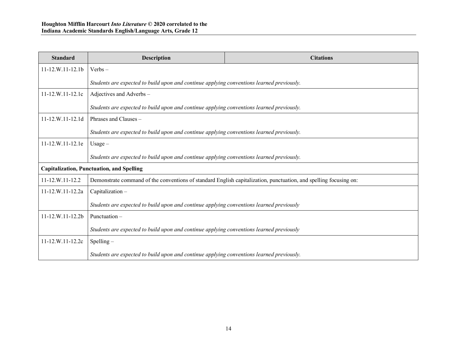| <b>Standard</b>                                  | <b>Description</b>                                                                                                | <b>Citations</b> |  |
|--------------------------------------------------|-------------------------------------------------------------------------------------------------------------------|------------------|--|
| $11 - 12$ , W, $11 - 12$ , $1b$                  | $Verbs -$                                                                                                         |                  |  |
|                                                  | Students are expected to build upon and continue applying conventions learned previously.                         |                  |  |
| $11 - 12. W. 11 - 12.1c$                         | Adjectives and Adverbs -                                                                                          |                  |  |
|                                                  | Students are expected to build upon and continue applying conventions learned previously.                         |                  |  |
| $11-12.W.11-12.1d$                               | Phrases and Clauses -                                                                                             |                  |  |
|                                                  | Students are expected to build upon and continue applying conventions learned previously.                         |                  |  |
| 11-12.W.11-12.1e                                 | $Usage -$                                                                                                         |                  |  |
|                                                  | Students are expected to build upon and continue applying conventions learned previously.                         |                  |  |
| <b>Capitalization, Punctuation, and Spelling</b> |                                                                                                                   |                  |  |
| 11-12.W.11-12.2                                  | Demonstrate command of the conventions of standard English capitalization, punctuation, and spelling focusing on: |                  |  |
| 11-12.W.11-12.2a                                 | Capitalization-                                                                                                   |                  |  |
|                                                  | Students are expected to build upon and continue applying conventions learned previously                          |                  |  |
| 11-12.W.11-12.2b                                 | Punctuation $-$                                                                                                   |                  |  |
|                                                  | Students are expected to build upon and continue applying conventions learned previously                          |                  |  |
| 11-12.W.11-12.2c                                 | $S$ pelling $-$                                                                                                   |                  |  |
|                                                  | Students are expected to build upon and continue applying conventions learned previously.                         |                  |  |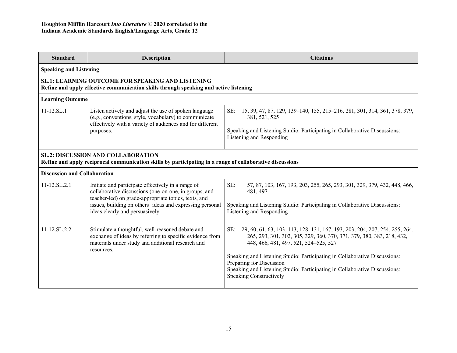| <b>Standard</b>                                                                                                                                        | Description                                                                                                                                                                                                                                                         | <b>Citations</b>                                                                                                                                                                                                                                                                                                                                                                                                        |  |  |
|--------------------------------------------------------------------------------------------------------------------------------------------------------|---------------------------------------------------------------------------------------------------------------------------------------------------------------------------------------------------------------------------------------------------------------------|-------------------------------------------------------------------------------------------------------------------------------------------------------------------------------------------------------------------------------------------------------------------------------------------------------------------------------------------------------------------------------------------------------------------------|--|--|
|                                                                                                                                                        | <b>Speaking and Listening</b>                                                                                                                                                                                                                                       |                                                                                                                                                                                                                                                                                                                                                                                                                         |  |  |
| SL.1: LEARNING OUTCOME FOR SPEAKING AND LISTENING<br>Refine and apply effective communication skills through speaking and active listening             |                                                                                                                                                                                                                                                                     |                                                                                                                                                                                                                                                                                                                                                                                                                         |  |  |
| <b>Learning Outcome</b>                                                                                                                                |                                                                                                                                                                                                                                                                     |                                                                                                                                                                                                                                                                                                                                                                                                                         |  |  |
| $11 - 12$ .SL.1                                                                                                                                        | Listen actively and adjust the use of spoken language<br>(e.g., conventions, style, vocabulary) to communicate<br>effectively with a variety of audiences and for different<br>purposes.                                                                            | SE:<br>15, 39, 47, 87, 129, 139–140, 155, 215–216, 281, 301, 314, 361, 378, 379,<br>381, 521, 525<br>Speaking and Listening Studio: Participating in Collaborative Discussions:<br>Listening and Responding                                                                                                                                                                                                             |  |  |
| <b>SL.2: DISCUSSION AND COLLABORATION</b><br>Refine and apply reciprocal communication skills by participating in a range of collaborative discussions |                                                                                                                                                                                                                                                                     |                                                                                                                                                                                                                                                                                                                                                                                                                         |  |  |
| <b>Discussion and Collaboration</b>                                                                                                                    |                                                                                                                                                                                                                                                                     |                                                                                                                                                                                                                                                                                                                                                                                                                         |  |  |
| $11-12$ .SL.2.1                                                                                                                                        | Initiate and participate effectively in a range of<br>collaborative discussions (one-on-one, in groups, and<br>teacher-led) on grade-appropriate topics, texts, and<br>issues, building on others' ideas and expressing personal<br>ideas clearly and persuasively. | SE:<br>57, 87, 103, 167, 193, 203, 255, 265, 293, 301, 329, 379, 432, 448, 466,<br>481, 497<br>Speaking and Listening Studio: Participating in Collaborative Discussions:<br>Listening and Responding                                                                                                                                                                                                                   |  |  |
| 11-12.SL.2.2                                                                                                                                           | Stimulate a thoughtful, well-reasoned debate and<br>exchange of ideas by referring to specific evidence from<br>materials under study and additional research and<br>resources.                                                                                     | SE:<br>29, 60, 61, 63, 103, 113, 128, 131, 167, 193, 203, 204, 207, 254, 255, 264,<br>265, 293, 301, 302, 305, 329, 360, 370, 371, 379, 380, 383, 218, 432,<br>448, 466, 481, 497, 521, 524–525, 527<br>Speaking and Listening Studio: Participating in Collaborative Discussions:<br>Preparing for Discussion<br>Speaking and Listening Studio: Participating in Collaborative Discussions:<br>Speaking Constructively |  |  |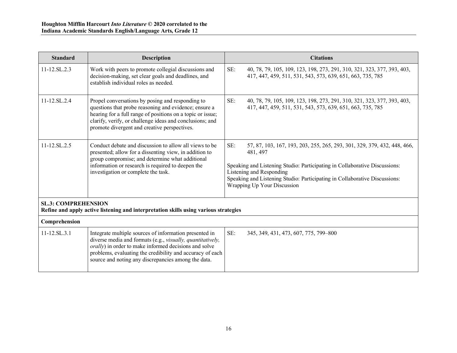| <b>Standard</b>                                                                                                    | <b>Description</b>                                                                                                                                                                                                                                                                  | <b>Citations</b>                                                                                                                                                                                                                                                                                                   |  |
|--------------------------------------------------------------------------------------------------------------------|-------------------------------------------------------------------------------------------------------------------------------------------------------------------------------------------------------------------------------------------------------------------------------------|--------------------------------------------------------------------------------------------------------------------------------------------------------------------------------------------------------------------------------------------------------------------------------------------------------------------|--|
| $11 - 12$ SL $2.3$                                                                                                 | Work with peers to promote collegial discussions and<br>decision-making, set clear goals and deadlines, and<br>establish individual roles as needed.                                                                                                                                | SE:<br>40, 78, 79, 105, 109, 123, 198, 273, 291, 310, 321, 323, 377, 393, 403,<br>417, 447, 459, 511, 531, 543, 573, 639, 651, 663, 735, 785                                                                                                                                                                       |  |
| 11-12.SL.2.4                                                                                                       | Propel conversations by posing and responding to<br>questions that probe reasoning and evidence; ensure a<br>hearing for a full range of positions on a topic or issue;<br>clarify, verify, or challenge ideas and conclusions; and<br>promote divergent and creative perspectives. | SE:<br>40, 78, 79, 105, 109, 123, 198, 273, 291, 310, 321, 323, 377, 393, 403,<br>417, 447, 459, 511, 531, 543, 573, 639, 651, 663, 735, 785                                                                                                                                                                       |  |
| 11-12.SL.2.5                                                                                                       | Conduct debate and discussion to allow all views to be<br>presented; allow for a dissenting view, in addition to<br>group compromise; and determine what additional<br>information or research is required to deepen the<br>investigation or complete the task.                     | SE:<br>57, 87, 103, 167, 193, 203, 255, 265, 293, 301, 329, 379, 432, 448, 466,<br>481, 497<br>Speaking and Listening Studio: Participating in Collaborative Discussions:<br>Listening and Responding<br>Speaking and Listening Studio: Participating in Collaborative Discussions:<br>Wrapping Up Your Discussion |  |
| <b>SL.3: COMPREHENSION</b><br>Refine and apply active listening and interpretation skills using various strategies |                                                                                                                                                                                                                                                                                     |                                                                                                                                                                                                                                                                                                                    |  |
| Comprehension                                                                                                      |                                                                                                                                                                                                                                                                                     |                                                                                                                                                                                                                                                                                                                    |  |
| $11 - 12$ .SL.3.1                                                                                                  | Integrate multiple sources of information presented in                                                                                                                                                                                                                              | SE:<br>345, 349, 431, 473, 607, 775, 799-800                                                                                                                                                                                                                                                                       |  |

| $11 - 12.5L.3.1$ | Integrate multiple sources of information presented in            | -SE: | $345, 349, 431, 473, 607, 775, 799 - 800$ |
|------------------|-------------------------------------------------------------------|------|-------------------------------------------|
|                  | diverse media and formats (e.g., <i>visually, quantitatively,</i> |      |                                           |
|                  | <i>orally</i> ) in order to make informed decisions and solve     |      |                                           |
|                  | problems, evaluating the credibility and accuracy of each         |      |                                           |
|                  | source and noting any discrepancies among the data.               |      |                                           |
|                  |                                                                   |      |                                           |
|                  |                                                                   |      |                                           |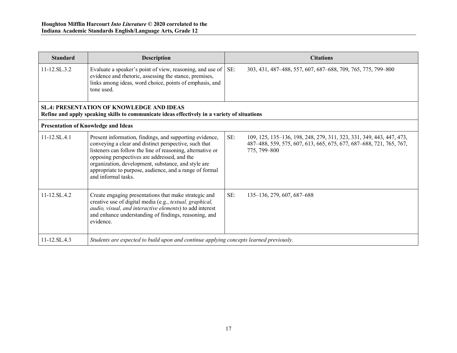| <b>Standard</b>                                                                                                                                  | <b>Description</b>                                                                                                                                                                                                                                                                                                                                                     |     | <b>Citations</b>                                                                                                                                            |
|--------------------------------------------------------------------------------------------------------------------------------------------------|------------------------------------------------------------------------------------------------------------------------------------------------------------------------------------------------------------------------------------------------------------------------------------------------------------------------------------------------------------------------|-----|-------------------------------------------------------------------------------------------------------------------------------------------------------------|
| $11 - 12$ .SL.3.2                                                                                                                                | Evaluate a speaker's point of view, reasoning, and use of<br>evidence and rhetoric, assessing the stance, premises,<br>links among ideas, word choice, points of emphasis, and<br>tone used.                                                                                                                                                                           | SE: | 303, 431, 487-488, 557, 607, 687-688, 709, 765, 775, 799-800                                                                                                |
| <b>SL.4: PRESENTATION OF KNOWLEDGE AND IDEAS</b><br>Refine and apply speaking skills to communicate ideas effectively in a variety of situations |                                                                                                                                                                                                                                                                                                                                                                        |     |                                                                                                                                                             |
| <b>Presentation of Knowledge and Ideas</b>                                                                                                       |                                                                                                                                                                                                                                                                                                                                                                        |     |                                                                                                                                                             |
| $11 - 12.SL.4.1$                                                                                                                                 | Present information, findings, and supporting evidence,<br>conveying a clear and distinct perspective, such that<br>listeners can follow the line of reasoning, alternative or<br>opposing perspectives are addressed, and the<br>organization, development, substance, and style are<br>appropriate to purpose, audience, and a range of formal<br>and informal tasks | SE: | 109, 125, 135–136, 198, 248, 279, 311, 323, 331, 349, 443, 447, 473,<br>487-488, 559, 575, 607, 613, 665, 675, 677, 687-688, 721, 765, 767,<br>775, 799-800 |
| $11 - 12$ SL $4.2$                                                                                                                               | Create engaging presentations that make strategic and<br>creative use of digital media (e.g., textual, graphical,<br>audio, visual, and interactive elements) to add interest<br>and enhance understanding of findings, reasoning, and<br>evidence.                                                                                                                    | SE: | 135–136, 279, 607, 687–688                                                                                                                                  |
| 11-12.SL.4.3                                                                                                                                     | Students are expected to build upon and continue applying concepts learned previously.                                                                                                                                                                                                                                                                                 |     |                                                                                                                                                             |